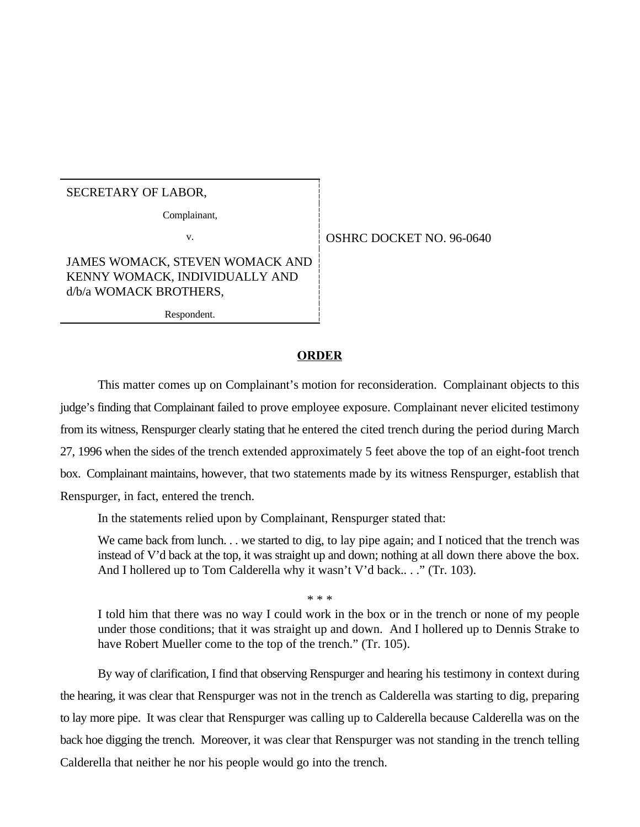## SECRETARY OF LABOR,

Complainant,

v. 696-0640

JAMES WOMACK, STEVEN WOMACK AND KENNY WOMACK, INDIVIDUALLY AND d/b/a WOMACK BROTHERS,

Respondent.

## **ORDER**

This matter comes up on Complainant's motion for reconsideration. Complainant objects to this judge's finding that Complainant failed to prove employee exposure. Complainant never elicited testimony from its witness, Renspurger clearly stating that he entered the cited trench during the period during March 27, 1996 when the sides of the trench extended approximately 5 feet above the top of an eight-foot trench box. Complainant maintains, however, that two statements made by its witness Renspurger, establish that Renspurger, in fact, entered the trench.

In the statements relied upon by Complainant, Renspurger stated that:

We came back from lunch. . . we started to dig, to lay pipe again; and I noticed that the trench was instead of V'd back at the top, it was straight up and down; nothing at all down there above the box. And I hollered up to Tom Calderella why it wasn't V'd back..." (Tr. 103).

\* \* \*

I told him that there was no way I could work in the box or in the trench or none of my people under those conditions; that it was straight up and down. And I hollered up to Dennis Strake to have Robert Mueller come to the top of the trench." (Tr. 105).

By way of clarification, I find that observing Renspurger and hearing his testimony in context during the hearing, it was clear that Renspurger was not in the trench as Calderella was starting to dig, preparing to lay more pipe. It was clear that Renspurger was calling up to Calderella because Calderella was on the back hoe digging the trench. Moreover, it was clear that Renspurger was not standing in the trench telling Calderella that neither he nor his people would go into the trench.